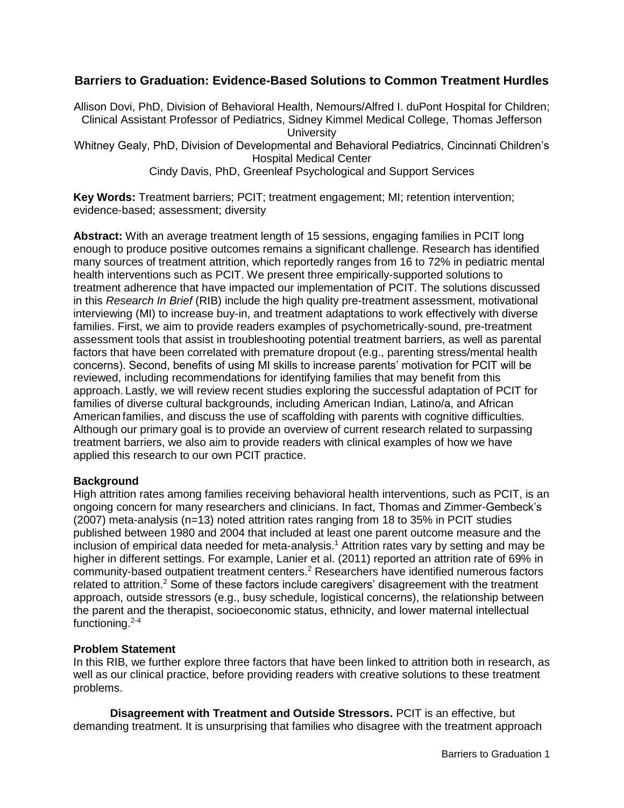# **Barriers to Graduation: Evidence-Based Solutions to Common Treatment Hurdles**

Allison Dovi, PhD, Division of Behavioral Health, Nemours/Alfred I. duPont Hospital for Children; Clinical Assistant Professor of Pediatrics, Sidney Kimmel Medical College, Thomas Jefferson **University** 

Whitney Gealy, PhD, Division of Developmental and Behavioral Pediatrics, Cincinnati Children's Hospital Medical Center

Cindy Davis, PhD, Greenleaf Psychological and Support Services

**Key Words:** Treatment barriers; PCIT; treatment engagement; MI; retention intervention; evidence-based; assessment; diversity

**Abstract:** With an average treatment length of 15 sessions, engaging families in PCIT long enough to produce positive outcomes remains a significant challenge. Research has identified many sources of treatment attrition, which reportedly ranges from 16 to 72% in pediatric mental health interventions such as PCIT. We present three empirically-supported solutions to treatment adherence that have impacted our implementation of PCIT. The solutions discussed in this *Research In Brief* (RIB) include the high quality pre-treatment assessment, motivational interviewing (MI) to increase buy-in, and treatment adaptations to work effectively with diverse families. First, we aim to provide readers examples of psychometrically-sound, pre-treatment assessment tools that assist in troubleshooting potential treatment barriers, as well as parental factors that have been correlated with premature dropout (e.g., parenting stress/mental health concerns). Second, benefits of using MI skills to increase parents' motivation for PCIT will be reviewed, including recommendations for identifying families that may benefit from this approach. Lastly, we will review recent studies exploring the successful adaptation of PCIT for families of diverse cultural backgrounds, including American Indian, Latino/a, and African American families, and discuss the use of scaffolding with parents with cognitive difficulties. Although our primary goal is to provide an overview of current research related to surpassing treatment barriers, we also aim to provide readers with clinical examples of how we have applied this research to our own PCIT practice.

## **Background**

High attrition rates among families receiving behavioral health interventions, such as PCIT, is an ongoing concern for many researchers and clinicians. In fact, Thomas and Zimmer-Gembeck's (2007) meta-analysis (n=13) noted attrition rates ranging from 18 to 35% in PCIT studies published between 1980 and 2004 that included at least one parent outcome measure and the inclusion of empirical data needed for meta-analysis.<sup>1</sup> Attrition rates vary by setting and may be higher in different settings. For example, Lanier et al. (2011) reported an attrition rate of 69% in community-based outpatient treatment centers. <sup>2</sup> Researchers have identified numerous factors related to attrition.<sup>2</sup> Some of these factors include caregivers' disagreement with the treatment approach, outside stressors (e.g., busy schedule, logistical concerns), the relationship between the parent and the therapist, socioeconomic status, ethnicity, and lower maternal intellectual functioning. 2-4

## **Problem Statement**

In this RIB, we further explore three factors that have been linked to attrition both in research, as well as our clinical practice, before providing readers with creative solutions to these treatment problems.

**Disagreement with Treatment and Outside Stressors.** PCIT is an effective, but demanding treatment. It is unsurprising that families who disagree with the treatment approach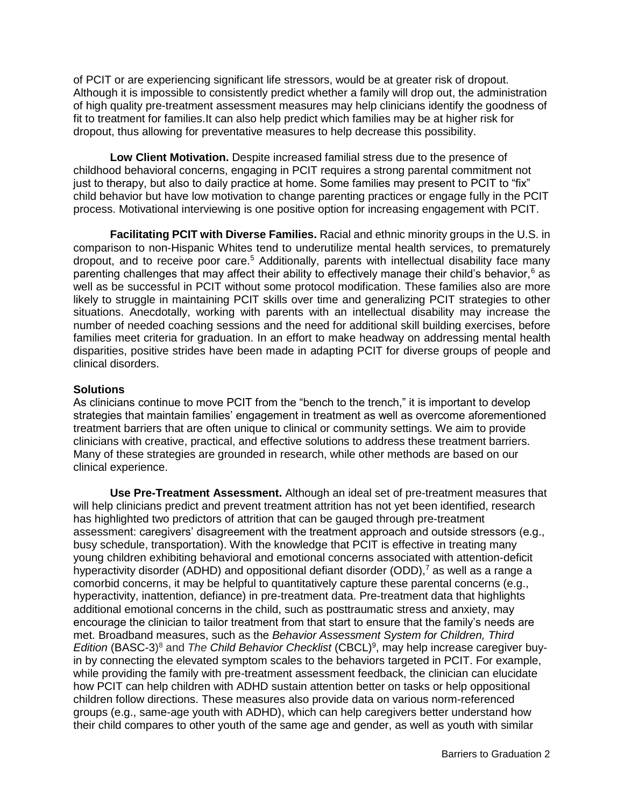of PCIT or are experiencing significant life stressors, would be at greater risk of dropout. Although it is impossible to consistently predict whether a family will drop out, the administration of high quality pre-treatment assessment measures may help clinicians identify the goodness of fit to treatment for families.It can also help predict which families may be at higher risk for dropout, thus allowing for preventative measures to help decrease this possibility.

**Low Client Motivation.** Despite increased familial stress due to the presence of childhood behavioral concerns, engaging in PCIT requires a strong parental commitment not just to therapy, but also to daily practice at home. Some families may present to PCIT to "fix" child behavior but have low motivation to change parenting practices or engage fully in the PCIT process. Motivational interviewing is one positive option for increasing engagement with PCIT.

**Facilitating PCIT with Diverse Families.** Racial and ethnic minority groups in the U.S. in comparison to non-Hispanic Whites tend to underutilize mental health services, to prematurely dropout, and to receive poor care.<sup>5</sup> Additionally, parents with intellectual disability face many parenting challenges that may affect their ability to effectively manage their child's behavior,<sup>6</sup> as well as be successful in PCIT without some protocol modification. These families also are more likely to struggle in maintaining PCIT skills over time and generalizing PCIT strategies to other situations. Anecdotally, working with parents with an intellectual disability may increase the number of needed coaching sessions and the need for additional skill building exercises, before families meet criteria for graduation. In an effort to make headway on addressing mental health disparities, positive strides have been made in adapting PCIT for diverse groups of people and clinical disorders.

### **Solutions**

As clinicians continue to move PCIT from the "bench to the trench," it is important to develop strategies that maintain families' engagement in treatment as well as overcome aforementioned treatment barriers that are often unique to clinical or community settings. We aim to provide clinicians with creative, practical, and effective solutions to address these treatment barriers. Many of these strategies are grounded in research, while other methods are based on our clinical experience.

**Use Pre-Treatment Assessment.** Although an ideal set of pre-treatment measures that will help clinicians predict and prevent treatment attrition has not yet been identified, research has highlighted two predictors of attrition that can be gauged through pre-treatment assessment: caregivers' disagreement with the treatment approach and outside stressors (e.g., busy schedule, transportation). With the knowledge that PCIT is effective in treating many young children exhibiting behavioral and emotional concerns associated with attention-deficit hyperactivity disorder (ADHD) and oppositional defiant disorder (ODD), $^7$  as well as a range a comorbid concerns, it may be helpful to quantitatively capture these parental concerns (e.g., hyperactivity, inattention, defiance) in pre-treatment data. Pre-treatment data that highlights additional emotional concerns in the child, such as posttraumatic stress and anxiety, may encourage the clinician to tailor treatment from that start to ensure that the family's needs are met. Broadband measures, such as the *[Behavior Assessment System for Children, Third](https://www.pearsonclinical.ca/en/products/product-master/item-33.html)*  [Edition](https://www.pearsonclinical.ca/en/products/product-master/item-33.html) (BASC-3)<sup>8</sup> and *The Child Behavior Checklist* (CBCL)<sup>9</sup>, may help increase caregiver buyin by connecting the elevated symptom scales to the behaviors targeted in PCIT. For example, while providing the family with pre-treatment assessment feedback, the clinician can elucidate how PCIT can help children with ADHD sustain attention better on tasks or help oppositional children follow directions. These measures also provide data on various norm-referenced groups (e.g., same-age youth with ADHD), which can help caregivers better understand how their child compares to other youth of the same age and gender, as well as youth with similar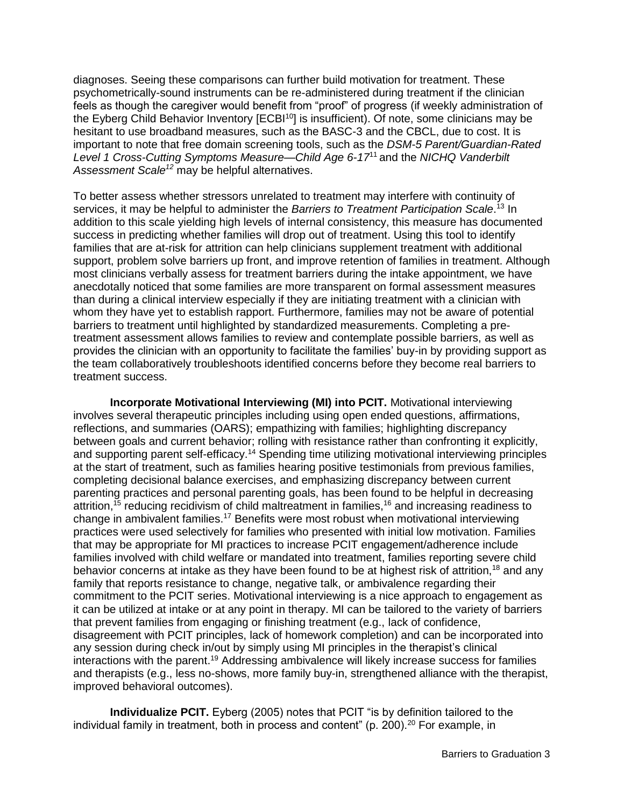diagnoses. Seeing these comparisons can further build motivation for treatment. These psychometrically-sound instruments can be re-administered during treatment if the clinician feels as though the caregiver would benefit from "proof" of progress (if weekly administration of the [Eyberg Child Behavior Inventory](https://www.parinc.com/Products/PKey/97) [ECBI<sup>10</sup>] is insufficient). Of note, some clinicians may be hesitant to use broadband measures, such as the BASC-3 and the CBCL, due to cost. It is important to note that free domain screening tools, such as the *DSM-5 Parent/Guardian-Rated Level 1 Cross-Cutting Symptoms Measure—Child Age 6-17*<sup>11</sup>and the *NICHQ Vanderbilt Assessment Scale<sup>12</sup>* may be helpful alternatives.

To better assess whether stressors unrelated to treatment may interfere with continuity of services, it may be helpful to administer the *Barriers to Treatment Participation Scale*. <sup>13</sup> In addition to this scale yielding high levels of internal consistency, this measure has documented success in predicting whether families will drop out of treatment. Using this tool to identify families that are at-risk for attrition can help clinicians supplement treatment with additional support, problem solve barriers up front, and improve retention of families in treatment. Although most clinicians verbally assess for treatment barriers during the intake appointment, we have anecdotally noticed that some families are more transparent on formal assessment measures than during a clinical interview especially if they are initiating treatment with a clinician with whom they have yet to establish rapport. Furthermore, families may not be aware of potential barriers to treatment until highlighted by standardized measurements. Completing a pretreatment assessment allows families to review and contemplate possible barriers, as well as provides the clinician with an opportunity to facilitate the families' buy-in by providing support as the team collaboratively troubleshoots identified concerns before they become real barriers to treatment success.

**Incorporate Motivational Interviewing (MI) into PCIT.** Motivational interviewing involves several therapeutic principles including using open ended questions, affirmations, reflections, and summaries (OARS); empathizing with families; highlighting discrepancy between goals and current behavior; rolling with resistance rather than confronting it explicitly, and supporting parent self-efficacy.<sup>14</sup> Spending time utilizing motivational interviewing principles at the start of treatment, such as families hearing positive testimonials from previous families, completing decisional balance exercises, and emphasizing discrepancy between current parenting practices and personal parenting goals, has been found to be helpful in decreasing attrition, <sup>15</sup> reducing recidivism of child maltreatment in families, <sup>16</sup> and increasing readiness to change in ambivalent families.<sup>17</sup> Benefits were most robust when motivational interviewing practices were used selectively for families who presented with initial low motivation. Families that may be appropriate for MI practices to increase PCIT engagement/adherence include families involved with child welfare or mandated into treatment, families reporting severe child behavior concerns at intake as they have been found to be at highest risk of attrition,<sup>18</sup> and any family that reports resistance to change, negative talk, or ambivalence regarding their commitment to the PCIT series. Motivational interviewing is a nice approach to engagement as it can be utilized at intake or at any point in therapy. MI can be tailored to the variety of barriers that prevent families from engaging or finishing treatment (e.g., lack of confidence, disagreement with PCIT principles, lack of homework completion) and can be incorporated into any session during check in/out by simply using MI principles in the therapist's clinical interactions with the parent. <sup>19</sup> Addressing ambivalence will likely increase success for families and therapists (e.g., less no-shows, more family buy-in, strengthened alliance with the therapist, improved behavioral outcomes).

**Individualize PCIT.** Eyberg (2005) notes that PCIT "is by definition tailored to the individual family in treatment, both in process and content" (p.  $200$ ).<sup>20</sup> For example, in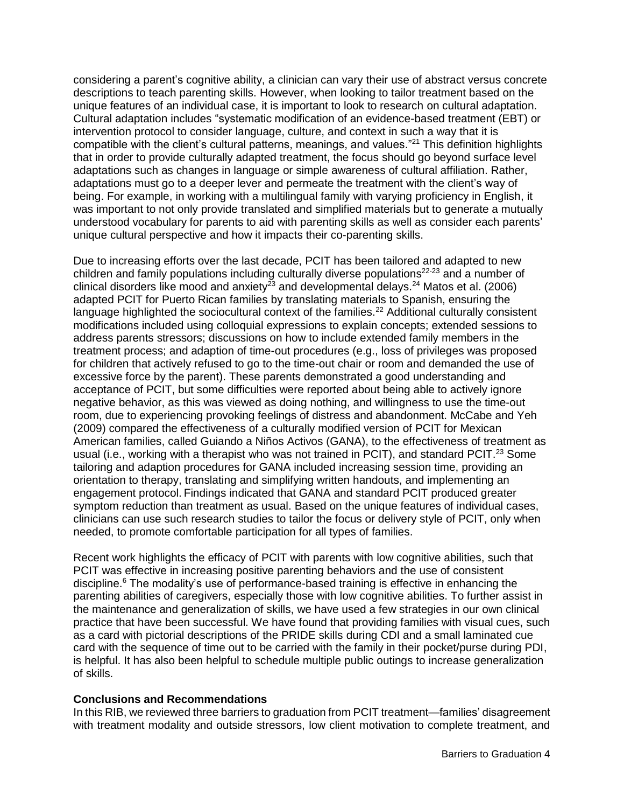considering a parent's cognitive ability, a clinician can vary their use of abstract versus concrete descriptions to teach parenting skills. However, when looking to tailor treatment based on the unique features of an individual case, it is important to look to research on cultural adaptation. Cultural adaptation includes "systematic modification of an evidence-based treatment (EBT) or intervention protocol to consider language, culture, and context in such a way that it is compatible with the client's cultural patterns, meanings, and values." <sup>21</sup> This definition highlights that in order to provide culturally adapted treatment, the focus should go beyond surface level adaptations such as changes in language or simple awareness of cultural affiliation. Rather, adaptations must go to a deeper lever and permeate the treatment with the client's way of being. For example, in working with a multilingual family with varying proficiency in English, it was important to not only provide translated and simplified materials but to generate a mutually understood vocabulary for parents to aid with parenting skills as well as consider each parents' unique cultural perspective and how it impacts their co-parenting skills.

Due to increasing efforts over the last decade, PCIT has been tailored and adapted to new children and family populations including culturally diverse populations<sup>22-23</sup> and a number of clinical disorders like mood and anxiety<sup>23</sup> and developmental delays.<sup>24</sup> Matos et al. (2006) adapted PCIT for Puerto Rican families by translating materials to Spanish, ensuring the language highlighted the sociocultural context of the families.<sup>22</sup> Additional culturally consistent modifications included using colloquial expressions to explain concepts; extended sessions to address parents stressors; discussions on how to include extended family members in the treatment process; and adaption of time-out procedures (e.g., loss of privileges was proposed for children that actively refused to go to the time-out chair or room and demanded the use of excessive force by the parent). These parents demonstrated a good understanding and acceptance of PCIT, but some difficulties were reported about being able to actively ignore negative behavior, as this was viewed as doing nothing, and willingness to use the time-out room, due to experiencing provoking feelings of distress and abandonment. McCabe and Yeh (2009) compared the effectiveness of a culturally modified version of PCIT for Mexican American families, called Guiando a Niños Activos (GANA), to the effectiveness of treatment as usual (i.e., working with a therapist who was not trained in PCIT), and standard PCIT.<sup>23</sup> Some tailoring and adaption procedures for GANA included increasing session time, providing an orientation to therapy, translating and simplifying written handouts, and implementing an engagement protocol. Findings indicated that GANA and standard PCIT produced greater symptom reduction than treatment as usual. Based on the unique features of individual cases, clinicians can use such research studies to tailor the focus or delivery style of PCIT, only when needed, to promote comfortable participation for all types of families.

Recent work highlights the efficacy of PCIT with parents with low cognitive abilities, such that PCIT was effective in increasing positive parenting behaviors and the use of consistent discipline. <sup>6</sup> The modality's use of performance-based training is effective in enhancing the parenting abilities of caregivers, especially those with low cognitive abilities. To further assist in the maintenance and generalization of skills, we have used a few strategies in our own clinical practice that have been successful. We have found that providing families with visual cues, such as a card with pictorial descriptions of the PRIDE skills during CDI and a small laminated cue card with the sequence of time out to be carried with the family in their pocket/purse during PDI, is helpful. It has also been helpful to schedule multiple public outings to increase generalization of skills.

## **Conclusions and Recommendations**

In this RIB, we reviewed three barriers to graduation from PCIT treatment—families' disagreement with treatment modality and outside stressors, low client motivation to complete treatment, and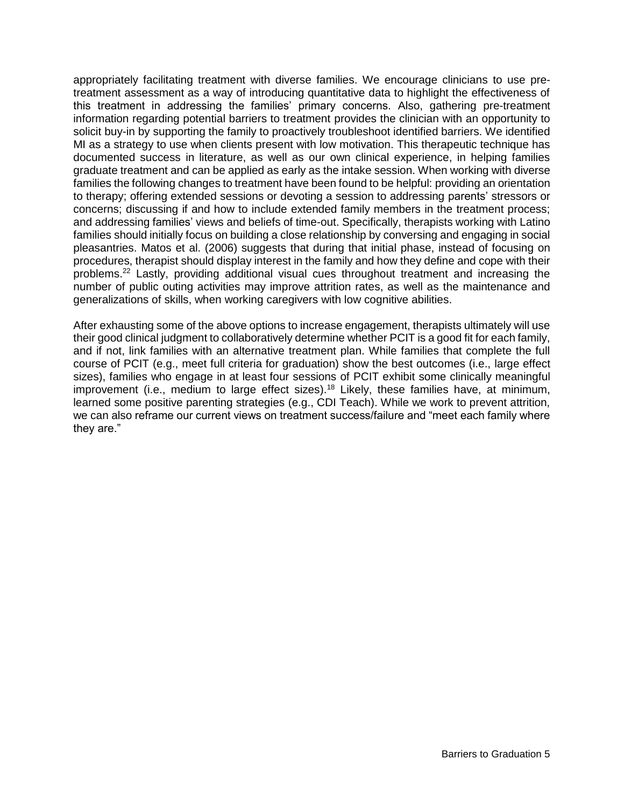appropriately facilitating treatment with diverse families. We encourage clinicians to use pretreatment assessment as a way of introducing quantitative data to highlight the effectiveness of this treatment in addressing the families' primary concerns. Also, gathering pre-treatment information regarding potential barriers to treatment provides the clinician with an opportunity to solicit buy-in by supporting the family to proactively troubleshoot identified barriers. We identified MI as a strategy to use when clients present with low motivation. This therapeutic technique has documented success in literature, as well as our own clinical experience, in helping families graduate treatment and can be applied as early as the intake session. When working with diverse families the following changes to treatment have been found to be helpful: providing an orientation to therapy; offering extended sessions or devoting a session to addressing parents' stressors or concerns; discussing if and how to include extended family members in the treatment process; and addressing families' views and beliefs of time-out. Specifically, therapists working with Latino families should initially focus on building a close relationship by conversing and engaging in social pleasantries. Matos et al. (2006) suggests that during that initial phase, instead of focusing on procedures, therapist should display interest in the family and how they define and cope with their problems.<sup>22</sup> Lastly, providing additional visual cues throughout treatment and increasing the number of public outing activities may improve attrition rates, as well as the maintenance and generalizations of skills, when working caregivers with low cognitive abilities.

After exhausting some of the above options to increase engagement, therapists ultimately will use their good clinical judgment to collaboratively determine whether PCIT is a good fit for each family, and if not, link families with an alternative treatment plan. While families that complete the full course of PCIT (e.g., meet full criteria for graduation) show the best outcomes (i.e., large effect sizes), families who engage in at least four sessions of PCIT exhibit some clinically meaningful improvement (i.e., medium to large effect sizes). <sup>18</sup> Likely, these families have, at minimum, learned some positive parenting strategies (e.g., CDI Teach). While we work to prevent attrition, we can also reframe our current views on treatment success/failure and "meet each family where they are."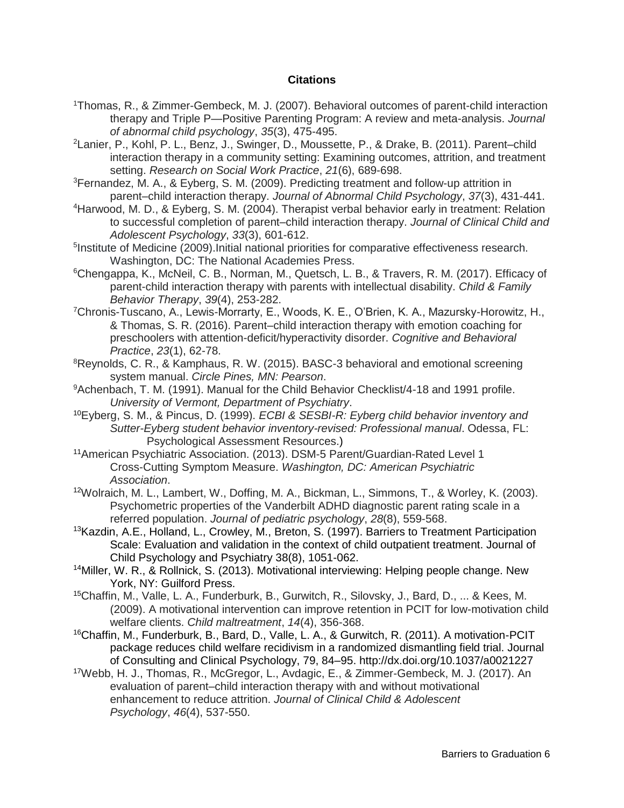### **Citations**

- <sup>1</sup>Thomas, R., & Zimmer-Gembeck, M. J. (2007). Behavioral outcomes of parent-child interaction therapy and Triple P—Positive Parenting Program: A review and meta-analysis. *Journal of abnormal child psychology*, *35*(3), 475-495.
- <sup>2</sup>Lanier, P., Kohl, P. L., Benz, J., Swinger, D., Moussette, P., & Drake, B. (2011). Parent–child interaction therapy in a community setting: Examining outcomes, attrition, and treatment setting. *Research on Social Work Practice*, *21*(6), 689-698.
- <sup>3</sup>Fernandez, M. A., & Eyberg, S. M. (2009). Predicting treatment and follow-up attrition in parent–child interaction therapy. *Journal of Abnormal Child Psychology*, *37*(3), 431-441.
- <sup>4</sup>Harwood, M. D., & Eyberg, S. M. (2004). Therapist verbal behavior early in treatment: Relation to successful completion of parent–child interaction therapy. *Journal of Clinical Child and Adolescent Psychology*, *33*(3), 601-612.
- <sup>5</sup>Institute of Medicine (2009). Initial national priorities for comparative effectiveness research. Washington, DC: The National Academies Press.
- <sup>6</sup>Chengappa, K., McNeil, C. B., Norman, M., Quetsch, L. B., & Travers, R. M. (2017). Efficacy of parent-child interaction therapy with parents with intellectual disability. *Child & Family Behavior Therapy*, *39*(4), 253-282.
- <sup>7</sup>Chronis-Tuscano, A., Lewis-Morrarty, E., Woods, K. E., O'Brien, K. A., Mazursky-Horowitz, H., & Thomas, S. R. (2016). Parent–child interaction therapy with emotion coaching for preschoolers with attention-deficit/hyperactivity disorder. *Cognitive and Behavioral Practice*, *23*(1), 62-78.
- <sup>8</sup>Reynolds, C. R., & Kamphaus, R. W. (2015). BASC-3 behavioral and emotional screening system manual. *Circle Pines, MN: Pearson*.
- <sup>9</sup>Achenbach, T. M. (1991). Manual for the Child Behavior Checklist/4-18 and 1991 profile. *University of Vermont, Department of Psychiatry*.
- <sup>10</sup>Eyberg, S. M., & Pincus, D. (1999). *ECBI & SESBI-R: Eyberg child behavior inventory and Sutter-Eyberg student behavior inventory-revised: Professional manual*. Odessa, FL: Psychological Assessment Resources.)
- <sup>11</sup>American Psychiatric Association. (2013). DSM-5 Parent/Guardian-Rated Level 1 Cross-Cutting Symptom Measure. *Washington, DC: American Psychiatric Association*.
- <sup>12</sup>Wolraich, M. L., Lambert, W., Doffing, M. A., Bickman, L., Simmons, T., & Worley, K. (2003). Psychometric properties of the Vanderbilt ADHD diagnostic parent rating scale in a referred population. *Journal of pediatric psychology*, *28*(8), 559-568.
- <sup>13</sup> Kazdin, A.E., Holland, L., Crowley, M., Breton, S. (1997). Barriers to Treatment Participation Scale: Evaluation and validation in the context of child outpatient treatment. Journal of Child Psychology and Psychiatry 38(8), 1051-062.
- <sup>14</sup> Miller, W. R., & Rollnick, S. (2013). Motivational interviewing: Helping people change. New York, NY: Guilford Press.
- <sup>15</sup>Chaffin, M., Valle, L. A., Funderburk, B., Gurwitch, R., Silovsky, J., Bard, D., ... & Kees, M. (2009). A motivational intervention can improve retention in PCIT for low-motivation child welfare clients. *Child maltreatment*, *14*(4), 356-368.
- <sup>16</sup>Chaffin, M., Funderburk, B., Bard, D., Valle, L. A., & Gurwitch, R. (2011). A motivation-PCIT package reduces child welfare recidivism in a randomized dismantling field trial. Journal of Consulting and Clinical Psychology, 79, 84–95. http://dx.doi.org/10.1037/a0021227
- <sup>17</sup>Webb, H. J., Thomas, R., McGregor, L., Avdagic, E., & Zimmer-Gembeck, M. J. (2017). An evaluation of parent–child interaction therapy with and without motivational enhancement to reduce attrition. *Journal of Clinical Child & Adolescent Psychology*, *46*(4), 537-550.